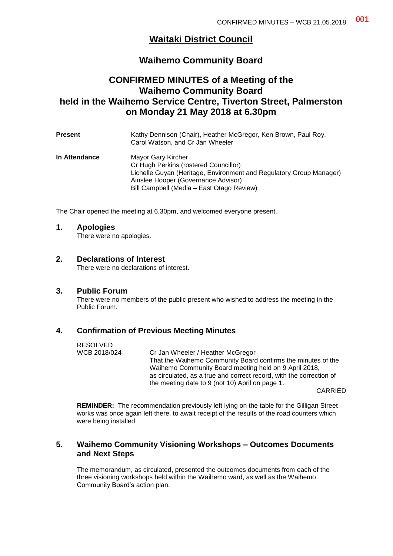# **Waitaki District Council**

# **Waihemo Community Board**

# **CONFIRMED MINUTES of a Meeting of the Waihemo Community Board held in the Waihemo Service Centre, Tiverton Street, Palmerston on Monday 21 May 2018 at 6.30pm**

| <b>Present</b> | Kathy Dennison (Chair), Heather McGregor, Ken Brown, Paul Roy,<br>Carol Watson, and Cr Jan Wheeler                                                                                                                     |
|----------------|------------------------------------------------------------------------------------------------------------------------------------------------------------------------------------------------------------------------|
| In Attendance  | Mayor Gary Kircher<br>Cr Hugh Perkins (rostered Councillor)<br>Lichelle Guyan (Heritage, Environment and Regulatory Group Manager)<br>Ainslee Hooper (Governance Advisor)<br>Bill Campbell (Media - East Otago Review) |

The Chair opened the meeting at 6.30pm, and welcomed everyone present.

### **1. Apologies**

There were no apologies.

### **2. Declarations of Interest**

There were no declarations of interest.

### **3. Public Forum**

There were no members of the public present who wished to address the meeting in the Public Forum.

### **4. Confirmation of Previous Meeting Minutes**

RESOLVED<br>WCB 2018/024 Cr Jan Wheeler / Heather McGregor That the Waihemo Community Board confirms the minutes of the Waihemo Community Board meeting held on 9 April 2018, as circulated, as a true and correct record, with the correction of the meeting date to 9 (not 10) April on page 1.

CARRIED

**REMINDER:** The recommendation previously left lying on the table for the Gilligan Street works was once again left there, to await receipt of the results of the road counters which were being installed.

### **5. Waihemo Community Visioning Workshops – Outcomes Documents and Next Steps**

The memorandum, as circulated, presented the outcomes documents from each of the three visioning workshops held within the Waihemo ward, as well as the Waihemo Community Board's action plan.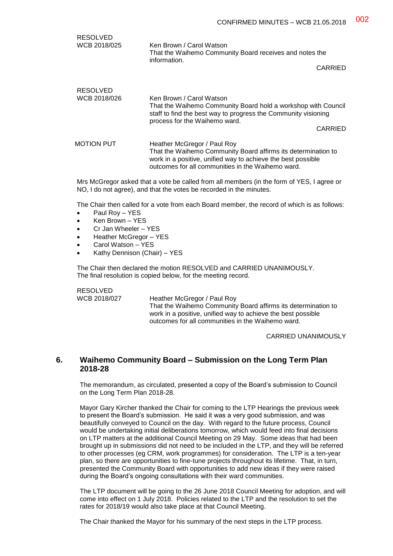| RESOLVED<br>WCB 2018/025        | Ken Brown / Carol Watson<br>That the Waihemo Community Board receives and notes the<br>information.<br>CARRIED                                                                                                    |
|---------------------------------|-------------------------------------------------------------------------------------------------------------------------------------------------------------------------------------------------------------------|
| <b>RESOLVED</b><br>WCB 2018/026 | Ken Brown / Carol Watson<br>That the Waihemo Community Board hold a workshop with Council<br>staff to find the best way to progress the Community visioning<br>process for the Waihemo ward.<br>CARRIED           |
| MOTION PUT                      | Heather McGregor / Paul Roy<br>That the Waihemo Community Board affirms its determination to<br>work in a positive, unified way to achieve the best possible<br>outcomes for all communities in the Waihemo ward. |

Mrs McGregor asked that a vote be called from all members (in the form of YES, I agree or NO, I do not agree), and that the votes be recorded in the minutes.

The Chair then called for a vote from each Board member, the record of which is as follows:

- Paul Roy YES
- Ken Brown YES
- Cr Jan Wheeler YES
- Heather McGregor YES
- Carol Watson YES
- Kathy Dennison (Chair) YES

The Chair then declared the motion RESOLVED and CARRIED UNANIMOUSLY. The final resolution is copied below, for the meeting record.

RESOLVED

WCB 2018/027 Heather McGregor / Paul Roy

That the Waihemo Community Board affirms its determination to work in a positive, unified way to achieve the best possible outcomes for all communities in the Waihemo ward.

CARRIED UNANIMOUSLY

### **6. Waihemo Community Board – Submission on the Long Term Plan 2018-28**

The memorandum, as circulated, presented a copy of the Board's submission to Council on the Long Term Plan 2018-28.

Mayor Gary Kircher thanked the Chair for coming to the LTP Hearings the previous week to present the Board's submission. He said it was a very good submission, and was beautifully conveyed to Council on the day. With regard to the future process, Council would be undertaking initial deliberations tomorrow, which would feed into final decisions on LTP matters at the additional Council Meeting on 29 May. Some ideas that had been brought up in submissions did not need to be included in the LTP, and they will be referred to other processes (eg CRM, work programmes) for consideration. The LTP is a ten-year plan, so there are opportunities to fine-tune projects throughout its lifetime. That, in turn, presented the Community Board with opportunities to add new ideas if they were raised during the Board's ongoing consultations with their ward communities.

The LTP document will be going to the 26 June 2018 Council Meeting for adoption, and will come into effect on 1 July 2018. Policies related to the LTP and the resolution to set the rates for 2018/19 would also take place at that Council Meeting.

The Chair thanked the Mayor for his summary of the next steps in the LTP process.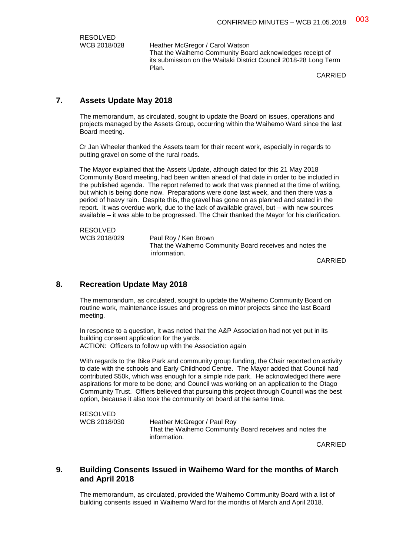RESOLVED<br>WCB 2018/028

Heather McGregor / Carol Watson That the Waihemo Community Board acknowledges receipt of its submission on the Waitaki District Council 2018-28 Long Term Plan.

CARRIED

# **7. Assets Update May 2018**

The memorandum, as circulated, sought to update the Board on issues, operations and projects managed by the Assets Group, occurring within the Waihemo Ward since the last Board meeting.

Cr Jan Wheeler thanked the Assets team for their recent work, especially in regards to putting gravel on some of the rural roads.

The Mayor explained that the Assets Update, although dated for this 21 May 2018 Community Board meeting, had been written ahead of that date in order to be included in the published agenda. The report referred to work that was planned at the time of writing, but which is being done now. Preparations were done last week, and then there was a period of heavy rain. Despite this, the gravel has gone on as planned and stated in the report. It was overdue work, due to the lack of available gravel, but – with new sources available – it was able to be progressed. The Chair thanked the Mayor for his clarification.

RESOLVED<br>WCB 2018/029

Paul Roy / Ken Brown That the Waihemo Community Board receives and notes the information.

CARRIED

### **8. Recreation Update May 2018**

The memorandum, as circulated, sought to update the Waihemo Community Board on routine work, maintenance issues and progress on minor projects since the last Board meeting.

In response to a question, it was noted that the A&P Association had not yet put in its building consent application for the yards. ACTION: Officers to follow up with the Association again

With regards to the Bike Park and community group funding, the Chair reported on activity to date with the schools and Early Childhood Centre. The Mayor added that Council had contributed \$50k, which was enough for a simple ride park. He acknowledged there were aspirations for more to be done; and Council was working on an application to the Otago Community Trust. Offiers believed that pursuing this project through Council was the best option, because it also took the community on board at the same time.

RESOLVED<br>WCB 2018/030

Heather McGregor / Paul Roy That the Waihemo Community Board receives and notes the information.

CARRIED

### **9. Building Consents Issued in Waihemo Ward for the months of March and April 2018**

The memorandum, as circulated, provided the Waihemo Community Board with a list of building consents issued in Waihemo Ward for the months of March and April 2018.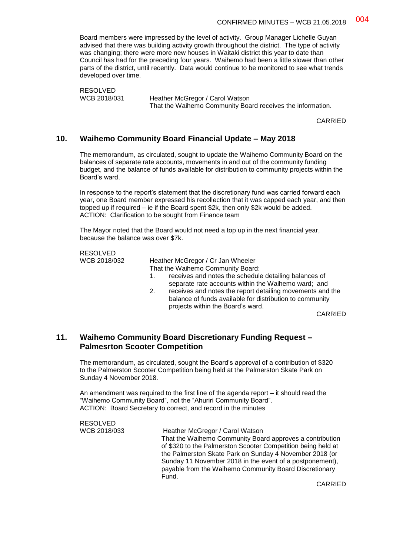Board members were impressed by the level of activity. Group Manager Lichelle Guyan advised that there was building activity growth throughout the district. The type of activity was changing; there were more new houses in Waitaki district this year to date than Council has had for the preceding four years. Waihemo had been a little slower than other parts of the district, until recently. Data would continue to be monitored to see what trends developed over time.

RESOLVED<br>WCB 2018/031

Heather McGregor / Carol Watson That the Waihemo Community Board receives the information.

CARRIED

### **10. Waihemo Community Board Financial Update – May 2018**

The memorandum, as circulated, sought to update the Waihemo Community Board on the balances of separate rate accounts, movements in and out of the community funding budget, and the balance of funds available for distribution to community projects within the Board's ward.

In response to the report's statement that the discretionary fund was carried forward each year, one Board member expressed his recollection that it was capped each year, and then topped up if required – ie if the Board spent \$2k, then only \$2k would be added. ACTION: Clarification to be sought from Finance team

The Mayor noted that the Board would not need a top up in the next financial year, because the balance was over \$7k.

RESOLVED<br>WCB 2018/032

Heather McGregor / Cr Jan Wheeler That the Waihemo Community Board: 1. receives and notes the schedule detailing balances of

- separate rate accounts within the Waihemo ward; and 2. receives and notes the report detailing movements and the
- balance of funds available for distribution to community projects within the Board's ward.

CARRIED

### **11. Waihemo Community Board Discretionary Funding Request – Palmesrton Scooter Competition**

The memorandum, as circulated, sought the Board's approval of a contribution of \$320 to the Palmerston Scooter Competition being held at the Palmerston Skate Park on Sunday 4 November 2018.

An amendment was required to the first line of the agenda report – it should read the "Waihemo Community Board", not the "Ahuriri Community Board". ACTION: Board Secretary to correct, and record in the minutes

| RESOLVED     |                                                                                                                                                                                                                                                                                                                    |
|--------------|--------------------------------------------------------------------------------------------------------------------------------------------------------------------------------------------------------------------------------------------------------------------------------------------------------------------|
| WCB 2018/033 | Heather McGregor / Carol Watson                                                                                                                                                                                                                                                                                    |
|              | That the Waihemo Community Board approves a contribution<br>of \$320 to the Palmerston Scooter Competition being held at<br>the Palmerston Skate Park on Sunday 4 November 2018 (or<br>Sunday 11 November 2018 in the event of a postponement),<br>payable from the Waihemo Community Board Discretionary<br>Fund. |
|              |                                                                                                                                                                                                                                                                                                                    |

CARRIED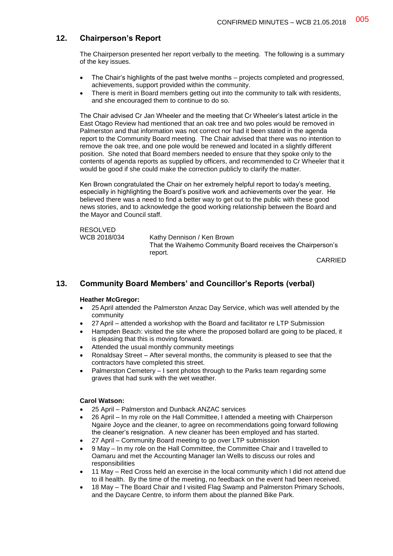# **12. Chairperson's Report**

The Chairperson presented her report verbally to the meeting. The following is a summary of the key issues.

- The Chair's highlights of the past twelve months projects completed and progressed, achievements, support provided within the community.
- There is merit in Board members getting out into the community to talk with residents, and she encouraged them to continue to do so.

The Chair advised Cr Jan Wheeler and the meeting that Cr Wheeler's latest article in the East Otago Review had mentioned that an oak tree and two poles would be removed in Palmerston and that information was not correct nor had it been stated in the agenda report to the Community Board meeting. The Chair advised that there was no intention to remove the oak tree, and one pole would be renewed and located in a slightly different position. She noted that Board members needed to ensure that they spoke only to the contents of agenda reports as supplied by officers, and recommended to Cr Wheeler that it would be good if she could make the correction publicly to clarify the matter.

Ken Brown congratulated the Chair on her extremely helpful report to today's meeting, especially in highlighting the Board's positive work and achievements over the year. He believed there was a need to find a better way to get out to the public with these good news stories, and to acknowledge the good working relationship between the Board and the Mayor and Council staff.

RESOLVED<br>WCB 2018/034 Kathy Dennison / Ken Brown That the Waihemo Community Board receives the Chairperson's report.

CARRIED

# **13. Community Board Members' and Councillor's Reports (verbal)**

### **Heather McGregor:**

- 25 April attended the Palmerston Anzac Day Service, which was well attended by the community
- 27 April attended a workshop with the Board and facilitator re LTP Submission
- Hampden Beach: visited the site where the proposed bollard are going to be placed, it is pleasing that this is moving forward.
- Attended the usual monthly community meetings
- Ronaldsay Street After several months, the community is pleased to see that the contractors have completed this street.
- Palmerston Cemetery I sent photos through to the Parks team regarding some graves that had sunk with the wet weather.

### **Carol Watson:**

- 25 April Palmerston and Dunback ANZAC services
- 26 April In my role on the Hall Committee, I attended a meeting with Chairperson Ngaire Joyce and the cleaner, to agree on recommendations going forward following the cleaner's resignation. A new cleaner has been employed and has started.
- 27 April Community Board meeting to go over LTP submission
- 9 May In my role on the Hall Committee, the Committee Chair and I travelled to Oamaru and met the Accounting Manager Ian Wells to discuss our roles and responsibilities
- 11 May Red Cross held an exercise in the local community which I did not attend due to ill health. By the time of the meeting, no feedback on the event had been received.
- 18 May The Board Chair and I visited Flag Swamp and Palmerston Primary Schools, and the Daycare Centre, to inform them about the planned Bike Park.